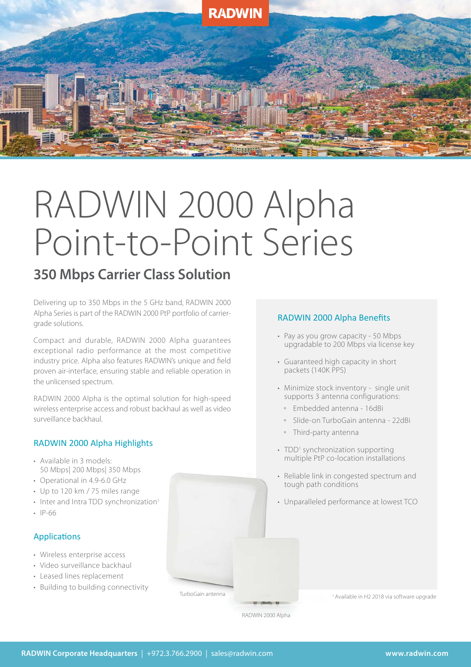

# RADWIN 2000 Alpha Point-to-Point Series

## **350 Mbps Carrier Class Solution**

Delivering up to 350 Mbps in the 5 GHz band, RADWIN 2000 Alpha Series is part of the RADWIN 2000 PtP portfolio of carriergrade solutions.

Compact and durable, RADWIN 2000 Alpha guarantees exceptional radio performance at the most competitive industry price. Alpha also features RADWIN's unique and field proven air-interface, ensuring stable and reliable operation in the unlicensed spectrum.

RADWIN 2000 Alpha is the optimal solution for high-speed wireless enterprise access and robust backhaul as well as video surveillance backhaul.

#### RADWIN 2000 Alpha Highlights

- Available in 3 models: 50 Mbps| 200 Mbps| 350 Mbps
- Operational in 4.9-6.0 GHz
- Up to 120 km / 75 miles range
- $\cdot$  Inter and Intra TDD synchronization<sup>1</sup>
- IP-66

#### Applications

- Wireless enterprise access
- Video surveillance backhaul
- Leased lines replacement
- Building to building connectivity

#### RADWIN 2000 Alpha Benefits

- Pay as you grow capacity 50 Mbps upgradable to 200 Mbps via license key
- Guaranteed high capacity in short packets (140K PPS)
- Minimize stock inventory single unit supports 3 antenna configurations:
	- Embedded antenna 16dBi
	- Slide-on TurboGain antenna 22dBi
	- Third-party antenna
- TDD<sup>1</sup> synchronization supporting multiple PtP co-location installations
- Reliable link in congested spectrum and tough path conditions
- Unparalleled performance at lowest TCO

RADWIN 2000 Alpha

TurboGain antenna

<sup>1</sup> Available in H2 2018 via software upgrade